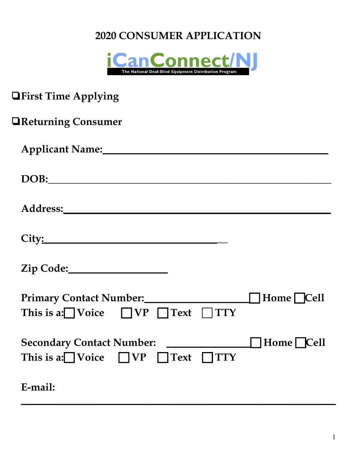## **2020 CONSUMER APPLICATION**



| <b>The Applying</b>                                                                                                                                                                                                            |
|--------------------------------------------------------------------------------------------------------------------------------------------------------------------------------------------------------------------------------|
| <b>TReturning Consumer</b>                                                                                                                                                                                                     |
|                                                                                                                                                                                                                                |
| DOB: Note of the second second second second second second second second second second second second second second second second second second second second second second second second second second second second second se |
|                                                                                                                                                                                                                                |
|                                                                                                                                                                                                                                |
|                                                                                                                                                                                                                                |
| Home Cell<br>This is a: Voice $\Box VP$ Text $\Box TTY$                                                                                                                                                                        |
| Home $\Box$ Cell<br>This is a: $\bigcap$ Voice $\bigcap$ VP $\bigcap$ Text $\bigcap$ TTY                                                                                                                                       |
| E-mail:                                                                                                                                                                                                                        |

**\_\_\_\_\_\_\_\_\_\_\_\_\_\_\_\_\_\_\_\_\_\_\_\_\_\_\_\_\_\_\_\_\_\_\_\_\_\_\_\_\_\_\_\_\_\_\_\_\_\_\_\_\_\_\_\_\_\_\_\_**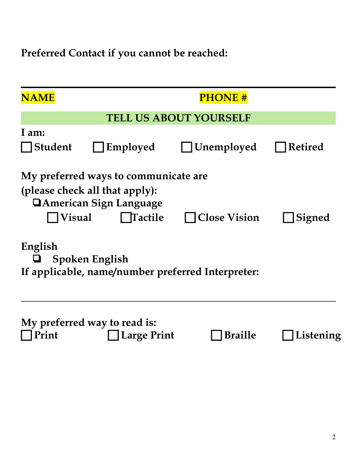**Preferred Contact if you cannot be reached:**

| <b>NAME</b>                                                                                                                                                       |                                                    | <b>PHONE#</b>          |                |  |
|-------------------------------------------------------------------------------------------------------------------------------------------------------------------|----------------------------------------------------|------------------------|----------------|--|
|                                                                                                                                                                   | <b>TELL US ABOUT YOURSELF</b>                      |                        |                |  |
| I am:                                                                                                                                                             |                                                    |                        |                |  |
| <b>Student</b>                                                                                                                                                    | Employed                                           | $\bigsqcup$ Unemployed | <b>Retired</b> |  |
| My preferred ways to communicate are<br>(please check all that apply):<br><b>□ American Sign Language</b><br>Visual<br>  Tactile<br><b>Close Vision</b><br>Signed |                                                    |                        |                |  |
| English<br>Spoken English<br>If applicable, name/number preferred Interpreter:                                                                                    |                                                    |                        |                |  |
| Print                                                                                                                                                             | My preferred way to read is:<br><b>Large Print</b> | <b>Braille</b>         | Listening      |  |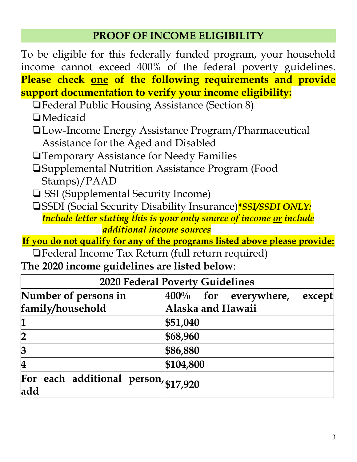## **PROOF OF INCOME ELIGIBILITY**

To be eligible for this federally funded program, your household income cannot exceed 400% of the federal poverty guidelines. **Please check one of the following requirements and provide support documentation to verify your income eligibility:**

- ❏Federal Public Housing Assistance (Section 8)
- ❏Medicaid
- ❏Low-Income Energy Assistance Program/Pharmaceutical Assistance for the Aged and Disabled
- ❏Temporary Assistance for Needy Families
- ❏Supplemental Nutrition Assistance Program (Food Stamps)/PAAD
- ❏ SSI (Supplemental Security Income)
- ❏SSDI (Social Security Disability Insurance)*\*SSI/SSDI ONLY: Include letter stating this is your only source of income or include additional income sources*
- **If you do not qualify for any of the programs listed above please provide:**

❏Federal Income Tax Return (full return required) **The 2020 income guidelines are listed below**:

| <b>2020 Federal Poverty Guidelines</b>      |                                   |  |  |  |
|---------------------------------------------|-----------------------------------|--|--|--|
| Number of persons in                        | $400\%$ for everywhere,<br>except |  |  |  |
| family/household                            | Alaska and Hawaii                 |  |  |  |
| $\mathbf 1$                                 | \$51,040                          |  |  |  |
| $\overline{2}$                              | \$68,960                          |  |  |  |
| $\overline{3}$                              | \$86,880                          |  |  |  |
| $\overline{\mathbf{4}}$                     | \$104,800                         |  |  |  |
| For each additional person, \$17,920<br>add |                                   |  |  |  |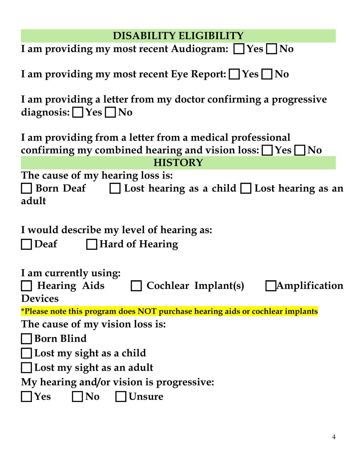| <b>DISABILITY ELIGIBILITY</b>                                                                                                    |  |  |  |  |
|----------------------------------------------------------------------------------------------------------------------------------|--|--|--|--|
| I am providing my most recent Audiogram: I Yes I No                                                                              |  |  |  |  |
| I am providing my most recent Eye Report: $\Box$ Yes $\Box$ No                                                                   |  |  |  |  |
| I am providing a letter from my doctor confirming a progressive<br>diagnosis: $\Box$ Yes $\Box$ No                               |  |  |  |  |
| I am providing from a letter from a medical professional<br>confirming my combined hearing and vision loss: $\Box$ Yes $\Box$ No |  |  |  |  |
| <b>HISTORY</b>                                                                                                                   |  |  |  |  |
| The cause of my hearing loss is:<br>$\Box$ Born Deaf $\Box$ Lost hearing as a child $\Box$ Lost hearing as an<br>adult           |  |  |  |  |
| I would describe my level of hearing as:<br>Hard of Hearing<br><b>Deaf</b>                                                       |  |  |  |  |
| I am currently using:<br>  Amplification<br>Scochlear Implant(s)<br><b>Hearing Aids</b><br><b>Devices</b>                        |  |  |  |  |
| *Please note this program does NOT purchase hearing aids or cochlear implants                                                    |  |  |  |  |
| The cause of my vision loss is:                                                                                                  |  |  |  |  |
| Born Blind                                                                                                                       |  |  |  |  |
| Lost my sight as a child                                                                                                         |  |  |  |  |
| Lost my sight as an adult                                                                                                        |  |  |  |  |
| My hearing and/or vision is progressive:                                                                                         |  |  |  |  |
| Yes<br>Unsure<br>N <sub>0</sub>                                                                                                  |  |  |  |  |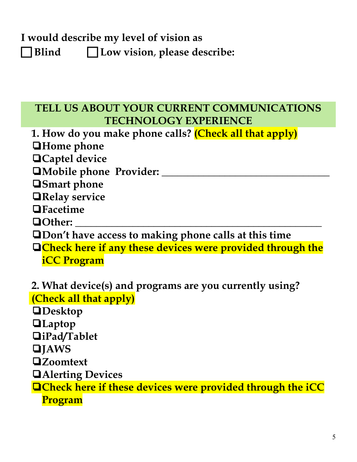## **I would describe my level of vision as**

 **Blind Low vision**, **please describe:**

## **TELL US ABOUT YOUR CURRENT COMMUNICATIONS TECHNOLOGY EXPERIENCE**

**1. How do you make phone calls? (Check all that apply)** ❏**Home phone** ❏**Captel device** ❏**Mobile phone Provider: \_\_\_\_\_\_\_\_\_\_\_\_\_\_\_\_\_\_\_\_\_\_\_\_\_\_\_\_\_\_\_\_**

❏**Smart phone**

❏**Relay service**

❏**Facetime**

❏**Other: \_\_\_\_\_\_\_\_\_\_\_\_\_\_\_\_\_\_\_\_\_\_\_\_\_\_\_\_\_\_\_\_\_\_\_\_\_\_\_\_\_\_\_\_\_\_\_**

❏**Don't have access to making phone calls at this time**

❏**Check here if any these devices were provided through the iCC Program**

**2. What device(s) and programs are you currently using? (Check all that apply)** ❏**Desktop** ❏**Laptop** ❏**iPad/Tablet** ❏**JAWS** ❏**Zoomtext** ❏**Alerting Devices** ❏**Check here if these devices were provided through the iCC Program**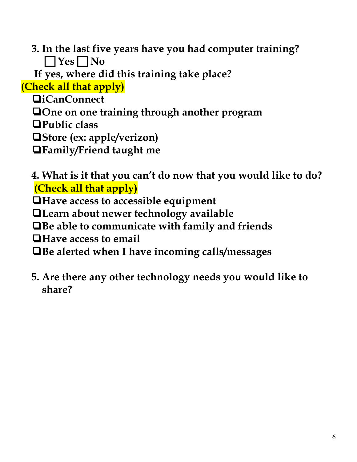**3. In the last five years have you had computer training?**  $\Box$  Yes  $\Box$  No

 **If yes, where did this training take place?**

**(Check all that apply)**

❏**iCanConnect**

❏**One on one training through another program**

❏**Public class**

❏**Store (ex: apple/verizon)**

❏**Family/Friend taught me**

**4. What is it that you can't do now that you would like to do? (Check all that apply)**

❏**Have access to accessible equipment**

❏**Learn about newer technology available**

❏**Be able to communicate with family and friends**

❏**Have access to email**

❏**Be alerted when I have incoming calls/messages**

**5. Are there any other technology needs you would like to share?**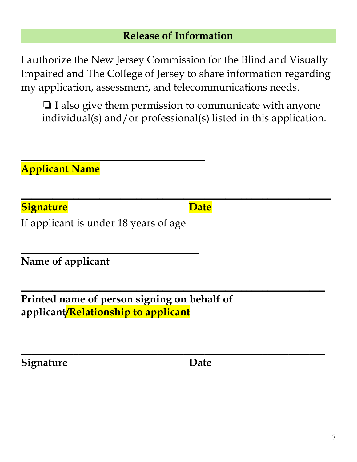### **Release of Information**

I authorize the New Jersey Commission for the Blind and Visually Impaired and The College of Jersey to share information regarding my application, assessment, and telecommunications needs.

❏ I also give them permission to communicate with anyone individual(s) and/or professional(s) listed in this application.

 $\overline{\phantom{a}}$  , and the contract of the contract of the contract of the contract of the contract of the contract of the contract of the contract of the contract of the contract of the contract of the contract of the contrac

## **Applicant Name**

| <b>Signature</b> |
|------------------|
|                  |

**Date** 

If applicant is under 18 years of age

 $\overline{\phantom{a}}$  , and the contract of the contract of the contract of the contract of the contract of the contract of the contract of the contract of the contract of the contract of the contract of the contract of the contrac

 $\overline{\phantom{a}}$  , and the contract of the contract of the contract of  $\overline{\phantom{a}}$ 

**Name of applicant**

 $\overline{\phantom{a}}$  , and the contract of the contract of the contract of the contract of the contract of the contract of the contract of the contract of the contract of the contract of the contract of the contract of the contrac **Printed name of person signing on behalf of applicant/Relationship to applicant**

**Signature Date**

 $\overline{\phantom{a}}$  , and the contract of the contract of the contract of the contract of the contract of the contract of the contract of the contract of the contract of the contract of the contract of the contract of the contrac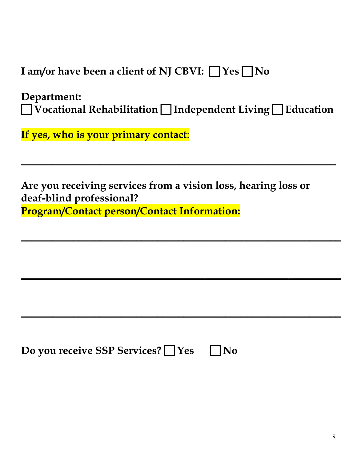**I** am/or have been a client of NJ CBVI:  $\Box$  Yes  $\Box$  No

**Department: Vocational Rehabilitation Independent Living Education**

 $\overline{\phantom{a}}$  , and the contract of the contract of the contract of the contract of the contract of the contract of the contract of the contract of the contract of the contract of the contract of the contract of the contrac

 $\overline{\phantom{a}}$  , and the contract of the contract of the contract of the contract of the contract of the contract of the contract of the contract of the contract of the contract of the contract of the contract of the contrac

 $\overline{\phantom{a}}$  , and the contract of the contract of the contract of the contract of the contract of the contract of the contract of the contract of the contract of the contract of the contract of the contract of the contrac

 $\overline{\phantom{a}}$  , and the contract of the contract of the contract of the contract of the contract of the contract of the contract of the contract of the contract of the contract of the contract of the contract of the contrac

**If yes, who is your primary contact**:

**Are you receiving services from a vision loss, hearing loss or deaf-blind professional? Program/Contact person/Contact Information:**

**Do you receive SSP Services? ◯ Yes** ◯ No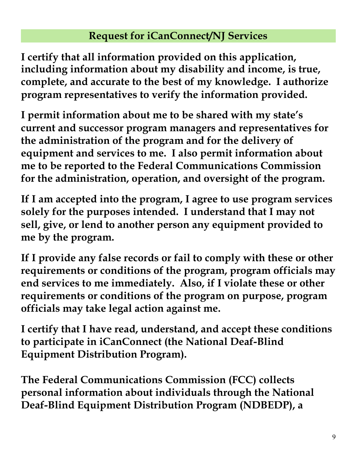## **Request for iCanConnect/NJ Services**

**I certify that all information provided on this application, including information about my disability and income, is true, complete, and accurate to the best of my knowledge. I authorize program representatives to verify the information provided.**

**I permit information about me to be shared with my state's current and successor program managers and representatives for the administration of the program and for the delivery of equipment and services to me. I also permit information about me to be reported to the Federal Communications Commission for the administration, operation, and oversight of the program.**

**If I am accepted into the program, I agree to use program services solely for the purposes intended. I understand that I may not sell, give, or lend to another person any equipment provided to me by the program.**

**If I provide any false records or fail to comply with these or other requirements or conditions of the program, program officials may end services to me immediately. Also, if I violate these or other requirements or conditions of the program on purpose, program officials may take legal action against me.**

**I certify that I have read, understand, and accept these conditions to participate in iCanConnect (the National Deaf-Blind Equipment Distribution Program).**

**The Federal Communications Commission (FCC) collects personal information about individuals through the National Deaf-Blind Equipment Distribution Program (NDBEDP), a**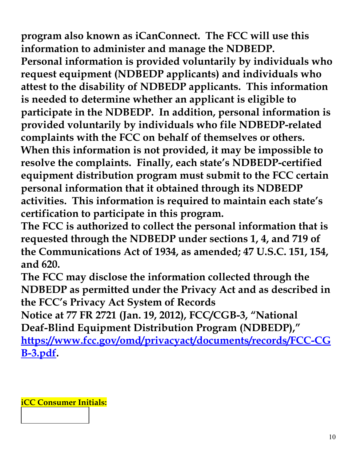**program also known as iCanConnect. The FCC will use this information to administer and manage the NDBEDP. Personal information is provided voluntarily by individuals who request equipment (NDBEDP applicants) and individuals who attest to the disability of NDBEDP applicants. This information is needed to determine whether an applicant is eligible to participate in the NDBEDP. In addition, personal information is provided voluntarily by individuals who file NDBEDP-related complaints with the FCC on behalf of themselves or others. When this information is not provided, it may be impossible to resolve the complaints. Finally, each state's NDBEDP-certified equipment distribution program must submit to the FCC certain personal information that it obtained through its NDBEDP activities. This information is required to maintain each state's certification to participate in this program.**

**The FCC is authorized to collect the personal information that is requested through the NDBEDP under sections 1, 4, and 719 of the Communications Act of 1934, as amended; 47 U.S.C. 151, 154, and 620.**

**The FCC may disclose the information collected through the NDBEDP as permitted under the Privacy Act and as described in the FCC's Privacy Act System of Records**

**Notice at 77 FR 2721 (Jan. 19, 2012), FCC/CGB-3, "National Deaf-Blind Equipment Distribution Program (NDBEDP),"**

**[https://www.fcc.gov/omd/privacyact/documents/records/FCC-CG](https://www.fcc.gov/omd/privacyact/documents/records/FCC-CGB-3.pdf) [B-3.pdf.](https://www.fcc.gov/omd/privacyact/documents/records/FCC-CGB-3.pdf)**

**iCC Consumer Initials:**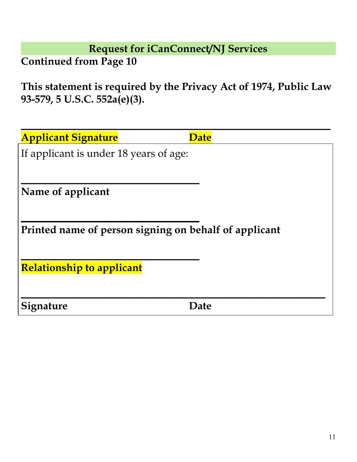**Request for iCanConnect/NJ Services**

**Continued from Page 10**

**This statement is required by the Privacy Act of 1974, Public Law 93-579, 5 U.S.C. 552a(e)(3).**

| <b>Applicant Signature</b>             | <b>Date</b>                                           |
|----------------------------------------|-------------------------------------------------------|
| If applicant is under 18 years of age: |                                                       |
|                                        |                                                       |
| Name of applicant                      |                                                       |
|                                        |                                                       |
|                                        | Printed name of person signing on behalf of applicant |
|                                        |                                                       |
| <b>Relationship to applicant</b>       |                                                       |
| Signature                              | Date                                                  |